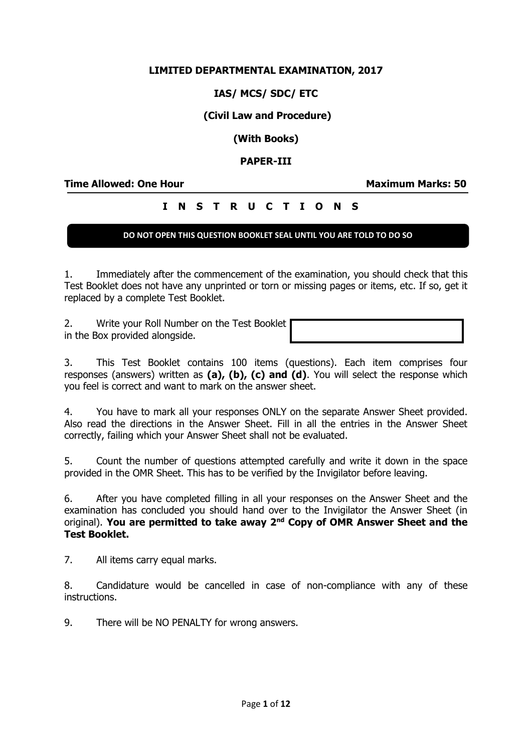## **LIMITED DEPARTMENTAL EXAMINATION, 2017**

## **IAS/ MCS/ SDC/ ETC**

## **(Civil Law and Procedure)**

## **(With Books)**

### **PAPER-III**

**Time Allowed: One Hour Maximum Marks: 50**

# **I N S T R U C T I O N S**

## **DO NOT OPEN THIS QUESTION BOOKLET SEAL UNTIL YOU ARE TOLD TO DO SO**

1. Immediately after the commencement of the examination, you should check that this Test Booklet does not have any unprinted or torn or missing pages or items, etc. If so, get it replaced by a complete Test Booklet.

2. Write your Roll Number on the Test Booklet in the Box provided alongside.

3. This Test Booklet contains 100 items (questions). Each item comprises four responses (answers) written as **(a), (b), (c) and (d)**. You will select the response which you feel is correct and want to mark on the answer sheet.

4. You have to mark all your responses ONLY on the separate Answer Sheet provided. Also read the directions in the Answer Sheet. Fill in all the entries in the Answer Sheet correctly, failing which your Answer Sheet shall not be evaluated.

5. Count the number of questions attempted carefully and write it down in the space provided in the OMR Sheet. This has to be verified by the Invigilator before leaving.

6. After you have completed filling in all your responses on the Answer Sheet and the examination has concluded you should hand over to the Invigilator the Answer Sheet (in original). **You are permitted to take away 2nd Copy of OMR Answer Sheet and the Test Booklet.**

7. All items carry equal marks.

8. Candidature would be cancelled in case of non-compliance with any of these instructions.

9. There will be NO PENALTY for wrong answers.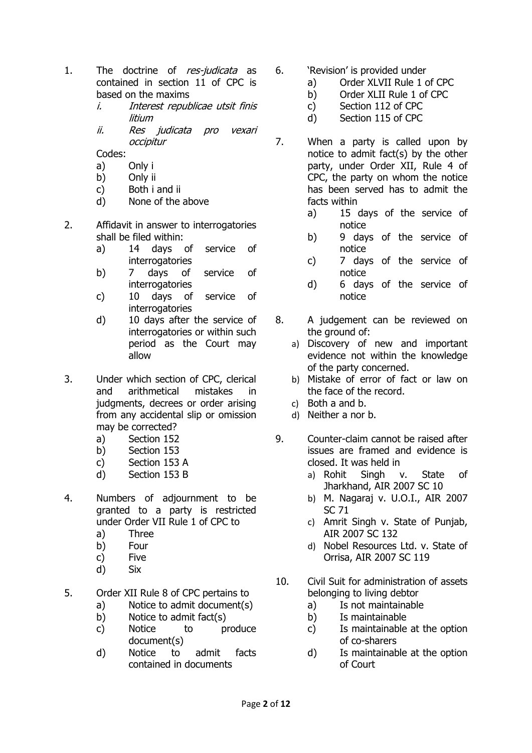- 1. The doctrine of res-judicata as contained in section 11 of CPC is based on the maxims
	- i. Interest republicae utsit finis litium
	- ii. Res judicata pro vexari occipitur

Codes:

- a) Only i
- b) Only ii
- c) Both i and ii
- d) None of the above
- 2. Affidavit in answer to interrogatories shall be filed within:
	- a) 14 days of service of **interrogatories**
	- b) 7 days of service of interrogatories
	- c) 10 days of service of interrogatories
	- d) 10 days after the service of interrogatories or within such period as the Court may allow
- 3. Under which section of CPC, clerical and arithmetical mistakes in judgments, decrees or order arising from any accidental slip or omission may be corrected?
	- a) Section 152
	- b) Section 153
	- c) Section 153 A
	- d) Section 153 B
- 4. Numbers of adjournment to be granted to a party is restricted under Order VII Rule 1 of CPC to
	- a) Three
	- b) Four
	- c) Five
	- d) Six
- 5. Order XII Rule 8 of CPC pertains to
	- a) Notice to admit document(s)
	- b) Notice to admit fact(s)
	- c) Notice to produce document(s)
	- d) Notice to admit facts contained in documents
- 6. 'Revision' is provided under
	- a) Order XLVII Rule 1 of CPC
	- b) Order XLII Rule 1 of CPC
	- c) Section 112 of CPC
	- d) Section 115 of CPC
- 7. When a party is called upon by notice to admit fact(s) by the other party, under Order XII, Rule 4 of CPC, the party on whom the notice has been served has to admit the facts within
	- a) 15 days of the service of notice
	- b) 9 days of the service of notice
	- c) 7 days of the service of notice
	- d) 6 days of the service of notice
- 8. A judgement can be reviewed on the ground of:
	- a) Discovery of new and important evidence not within the knowledge of the party concerned.
	- b) Mistake of error of fact or law on the face of the record.
	- c) Both a and b.
	- d) Neither a nor b.
- 9. Counter-claim cannot be raised after issues are framed and evidence is closed. It was held in
	- a) Rohit Singh v. State of Jharkhand, AIR 2007 SC 10
	- b) M. Nagaraj v. U.O.I., AIR 2007 SC 71
	- c) Amrit Singh v. State of Punjab, AIR 2007 SC 132
	- d) Nobel Resources Ltd. v. State of Orrisa, AIR 2007 SC 119
- 10. Civil Suit for administration of assets belonging to living debtor
	- a) Is not maintainable
	- b) Is maintainable
	- c) Is maintainable at the option of co-sharers
	- d) Is maintainable at the option of Court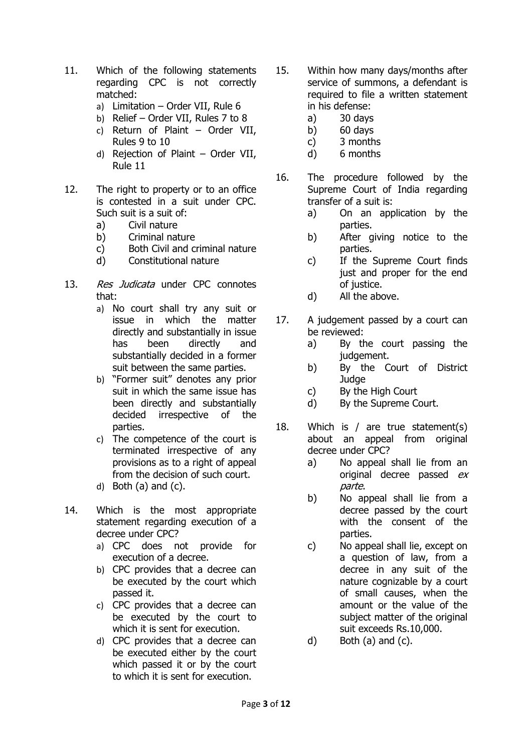- 11. Which of the following statements regarding CPC is not correctly matched:
	- a) Limitation Order VII, Rule 6
	- b) Relief Order VII, Rules 7 to 8
	- c) Return of Plaint Order VII, Rules 9 to 10
	- d) Rejection of Plaint Order VII, Rule 11
- 12. The right to property or to an office is contested in a suit under CPC. Such suit is a suit of:
	- a) Civil nature
	- b) Criminal nature
	- c) Both Civil and criminal nature
	- d) Constitutional nature
- 13. Res Judicata under CPC connotes that:
	- a) No court shall try any suit or issue in which the matter directly and substantially in issue has been directly and substantially decided in a former suit between the same parties.
	- b) "Former suit" denotes any prior suit in which the same issue has been directly and substantially decided irrespective of the parties.
	- c) The competence of the court is terminated irrespective of any provisions as to a right of appeal from the decision of such court.
	- d) Both  $(a)$  and  $(c)$ .
- 14. Which is the most appropriate statement regarding execution of a decree under CPC?
	- a) CPC does not provide for execution of a decree.
	- b) CPC provides that a decree can be executed by the court which passed it.
	- c) CPC provides that a decree can be executed by the court to which it is sent for execution.
	- d) CPC provides that a decree can be executed either by the court which passed it or by the court to which it is sent for execution.
- 15. Within how many days/months after service of summons, a defendant is required to file a written statement in his defense:
	- a) 30 days
	- b) 60 days
	- c) 3 months
	- d) 6 months
- 16. The procedure followed by the Supreme Court of India regarding transfer of a suit is:
	- a) On an application by the parties.
	- b) After giving notice to the parties.
	- c) If the Supreme Court finds just and proper for the end of justice.
	- d) All the above.
- 17. A judgement passed by a court can be reviewed:
	- a) By the court passing the judgement.
	- b) By the Court of District **Judge**
	- c) By the High Court
	- d) By the Supreme Court.
- 18. Which is / are true statement(s) about an appeal from original decree under CPC?
	- a) No appeal shall lie from an original decree passed ex parte.
	- b) No appeal shall lie from a decree passed by the court with the consent of the parties.
	- c) No appeal shall lie, except on a question of law, from a decree in any suit of the nature cognizable by a court of small causes, when the amount or the value of the subject matter of the original suit exceeds Rs.10,000.
	- d) Both (a) and (c).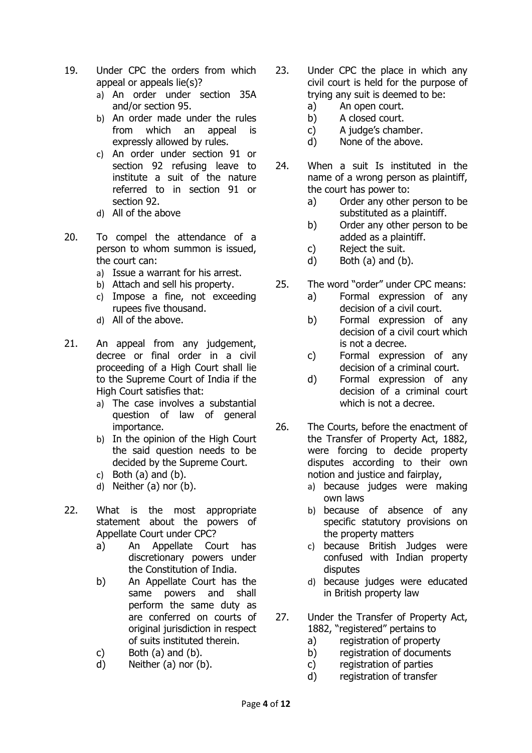- 19. Under CPC the orders from which appeal or appeals lie(s)?
	- a) An order under section 35A and/or section 95.
	- b) An order made under the rules from which an appeal is expressly allowed by rules.
	- c) An order under section 91 or section 92 refusing leave to institute a suit of the nature referred to in section 91 or section 92.
	- d) All of the above
- 20. To compel the attendance of a person to whom summon is issued, the court can:
	- a) Issue a warrant for his arrest.
	- b) Attach and sell his property.
	- c) Impose a fine, not exceeding rupees five thousand.
	- d) All of the above.
- 21. An appeal from any judgement, decree or final order in a civil proceeding of a High Court shall lie to the Supreme Court of India if the High Court satisfies that:
	- a) The case involves a substantial question of law of general importance.
	- b) In the opinion of the High Court the said question needs to be decided by the Supreme Court.
	- c) Both  $(a)$  and  $(b)$ .
	- d) Neither (a) nor (b).
- 22. What is the most appropriate statement about the powers of Appellate Court under CPC?
	- a) An Appellate Court has discretionary powers under the Constitution of India.
	- b) An Appellate Court has the same powers and shall perform the same duty as are conferred on courts of original jurisdiction in respect of suits instituted therein.
	- c) Both  $(a)$  and  $(b)$ .
	- d) Neither (a) nor (b).
- 23. Under CPC the place in which any civil court is held for the purpose of trying any suit is deemed to be:
	- a) An open court.
	- b) A closed court.
	- c) A judge's chamber.
	- d) None of the above.
- 24. When a suit Is instituted in the name of a wrong person as plaintiff, the court has power to:
	- a) Order any other person to be substituted as a plaintiff.
	- b) Order any other person to be added as a plaintiff.
	- c) Reject the suit.
	- d) Both (a) and (b).
- 25. The word "order" under CPC means:
	- a) Formal expression of any decision of a civil court.
	- b) Formal expression of any decision of a civil court which is not a decree.
	- c) Formal expression of any decision of a criminal court.
	- d) Formal expression of any decision of a criminal court which is not a decree.
- 26. The Courts, before the enactment of the Transfer of Property Act, 1882, were forcing to decide property disputes according to their own notion and justice and fairplay,
	- a) because judges were making own laws
	- b) because of absence of any specific statutory provisions on the property matters
	- c) because British Judges were confused with Indian property disputes
	- d) because judges were educated in British property law
- 27. Under the Transfer of Property Act, 1882, "registered" pertains to
	- a) registration of property
	- b) registration of documents
	- c) registration of parties
	- d) registration of transfer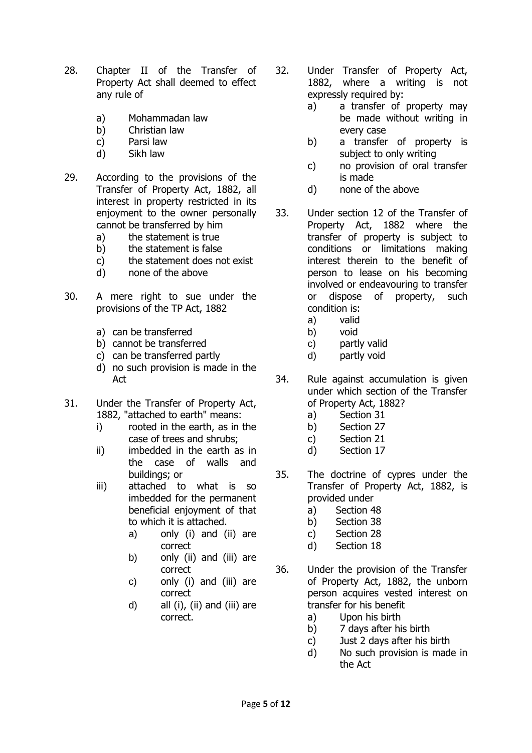- 28. Chapter II of the Transfer of Property Act shall deemed to effect any rule of
	- a) Mohammadan law
	- b) Christian law
	- c) Parsi law
	- d) Sikh law
- 29. According to the provisions of the Transfer of Property Act, 1882, all interest in property restricted in its enjoyment to the owner personally cannot be transferred by him
	- a) the statement is true
	- b) the statement is false
	- c) the statement does not exist
	- d) none of the above
- 30. A mere right to sue under the provisions of the TP Act, 1882
	- a) can be transferred
	- b) cannot be transferred
	- c) can be transferred partly
	- d) no such provision is made in the Act
- 31. Under the Transfer of Property Act, 1882, "attached to earth" means:
	- i) rooted in the earth, as in the case of trees and shrubs;
	- ii) imbedded in the earth as in the case of walls and buildings; or
	- iii) attached to what is so imbedded for the permanent beneficial enjoyment of that to which it is attached.
		- a) only (i) and (ii) are correct
		- b) only (ii) and (iii) are correct
		- c) only (i) and (iii) are correct
		- d) all  $(i)$ ,  $(ii)$  and  $(iii)$  are correct.
- 32. Under Transfer of Property Act, 1882, where a writing is not expressly required by:
	- a) a transfer of property may be made without writing in every case
	- b) a transfer of property is subject to only writing
	- c) no provision of oral transfer is made
	- d) none of the above
- 33. Under section 12 of the Transfer of Property Act, 1882 where the transfer of property is subject to conditions or limitations making interest therein to the benefit of person to lease on his becoming involved or endeavouring to transfer or dispose of property, such condition is:
	- a) valid
	- b) void
	- c) partly valid
	- d) partly void
- 34. Rule against accumulation is given under which section of the Transfer of Property Act, 1882?
	- a) Section 31
	- b) Section 27
	- c) Section 21
	- d) Section 17
- 35. The doctrine of cypres under the Transfer of Property Act, 1882, is provided under
	- a) Section 48
	- b) Section 38
	- c) Section 28
	- d) Section 18
- 36. Under the provision of the Transfer of Property Act, 1882, the unborn person acquires vested interest on transfer for his benefit
	- a) Upon his birth
	- b) 7 days after his birth
	- c) Just 2 days after his birth
	- d) No such provision is made in the Act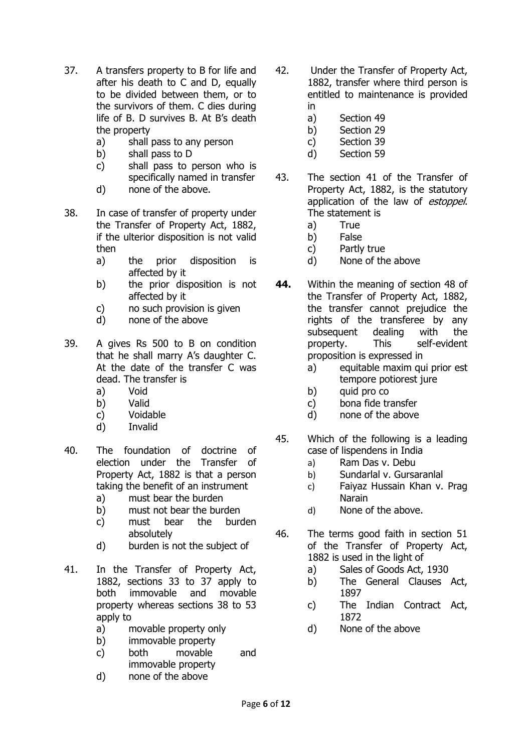- 37. A transfers property to B for life and after his death to C and D, equally to be divided between them, or to the survivors of them. C dies during life of B. D survives B. At B's death the property
	- a) shall pass to any person
	- b) shall pass to D
	- c) shall pass to person who is specifically named in transfer
	- d) none of the above.
- 38. In case of transfer of property under the Transfer of Property Act, 1882, if the ulterior disposition is not valid then
	- a) the prior disposition is affected by it
	- b) the prior disposition is not affected by it
	- c) no such provision is given
	- d) none of the above
- 39. A gives Rs 500 to B on condition that he shall marry A's daughter C. At the date of the transfer C was dead. The transfer is
	- a) Void
	- b) Valid
	- c) Voidable
	- d) Invalid
- 40. The foundation of doctrine of election under the Transfer of Property Act, 1882 is that a person taking the benefit of an instrument
	- a) must bear the burden
	- b) must not bear the burden
	- c) must bear the burden absolutely
	- d) burden is not the subject of
- 41. In the Transfer of Property Act, 1882, sections 33 to 37 apply to both immovable and movable property whereas sections 38 to 53 apply to
	- a) movable property only
	- b) immovable property
	- c) both movable and immovable property
	- d) none of the above
- 42. Under the Transfer of Property Act, 1882, transfer where third person is entitled to maintenance is provided in
	- a) Section 49
	- b) Section 29
	- c) Section 39
	- d) Section 59
- 43. The section 41 of the Transfer of Property Act, 1882, is the statutory application of the law of *estoppel*. The statement is
	- a) True
	- b) False
	- c) Partly true
	- d) None of the above
- **44.** Within the meaning of section 48 of the Transfer of Property Act, 1882, the transfer cannot prejudice the rights of the transferee by any subsequent dealing with the property. This self-evident proposition is expressed in
	- a) equitable maxim qui prior est tempore potiorest jure
	- b) quid pro co
	- c) bona fide transfer
	- d) none of the above
- 45. Which of the following is a leading case of lispendens in India
	- a) Ram Das v. Debu
	- b) Sundarlal v. Gursaranlal
	- c) Faiyaz Hussain Khan v. Prag Narain
	- d) None of the above.
- 46. The terms good faith in section 51 of the Transfer of Property Act, 1882 is used in the light of
	- a) Sales of Goods Act, 1930
	- b) The General Clauses Act, 1897
	- c) The Indian Contract Act, 1872
	- d) None of the above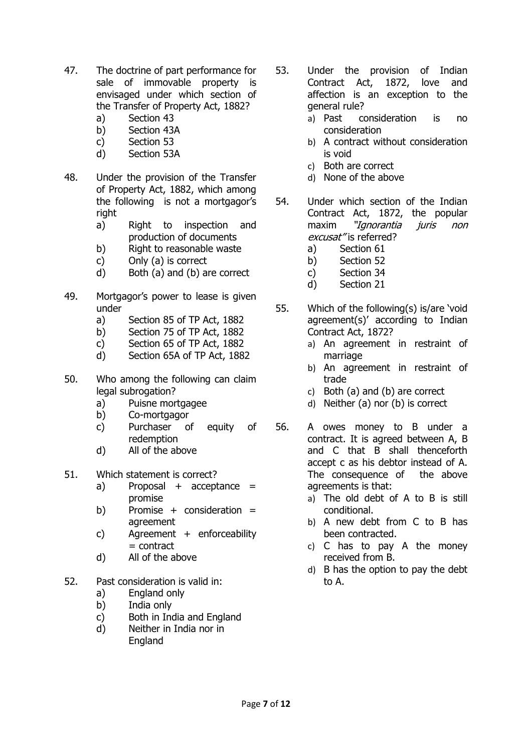- 47. The doctrine of part performance for sale of immovable property is envisaged under which section of the Transfer of Property Act, 1882?
	- a) Section 43
	- b) Section 43A
	- c) Section 53
	- d) Section 53A
- 48. Under the provision of the Transfer of Property Act, 1882, which among the following is not a mortgagor's right
	- a) Right to inspection and production of documents
	- b) Right to reasonable waste
	- c) Only (a) is correct
	- d) Both (a) and (b) are correct
- 49. Mortgagor's power to lease is given under
	- a) Section 85 of TP Act, 1882
	- b) Section 75 of TP Act, 1882
	- c) Section 65 of TP Act, 1882
	- d) Section 65A of TP Act, 1882
- 50. Who among the following can claim legal subrogation?
	- a) Puisne mortgagee
	- b) Co-mortgagor
	- c) Purchaser of equity of redemption
	- d) All of the above
- 51. Which statement is correct?
	- a) Proposal  $+$  acceptance  $=$ promise
	- b) Promise + consideration = agreement
	- c) Agreement + enforceability  $=$  contract
	- d) All of the above
- 52. Past consideration is valid in:
	- a) England only
	- b) India only
	- c) Both in India and England
	- d) Neither in India nor in England
- 53. Under the provision of Indian Contract Act, 1872, love and affection is an exception to the general rule?
	- a) Past consideration is no consideration
	- b) A contract without consideration is void
	- c) Both are correct
	- d) None of the above
- 54. Under which section of the Indian Contract Act, 1872, the popular maxim "Ignorantia juris non excusat" is referred?
	- a) Section 61
	- b) Section 52
	- c) Section 34
	- d) Section 21
- 55. Which of the following(s) is/are 'void agreement(s)' according to Indian Contract Act, 1872?
	- a) An agreement in restraint of marriage
	- b) An agreement in restraint of trade
	- c) Both (a) and (b) are correct
	- d) Neither (a) nor (b) is correct
- 56. A owes money to B under a contract. It is agreed between A, B and C that B shall thenceforth accept c as his debtor instead of A. The consequence of the above agreements is that:
	- a) The old debt of A to B is still conditional.
	- b) A new debt from C to B has been contracted.
	- c) C has to pay A the money received from B.
	- d) B has the option to pay the debt to A.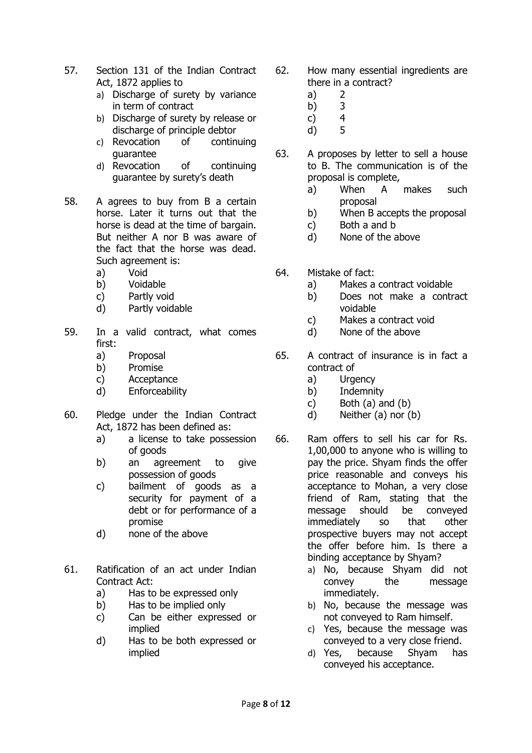- 57. Section 131 of the Indian Contract Act, 1872 applies to
	- a) Discharge of surety by variance in term of contract
	- b) Discharge of surety by release or discharge of principle debtor
	- c) Revocation of continuing guarantee
	- d) Revocation of continuing guarantee by surety's death
- 58. A agrees to buy from B a certain horse. Later it turns out that the horse is dead at the time of bargain. But neither A nor B was aware of the fact that the horse was dead. Such agreement is:
	- a) Void
	- b) Voidable
	- c) Partly void
	- d) Partly voidable
- 59. In a valid contract, what comes first:
	- a) Proposal
	- b) Promise
	- c) Acceptance
	- d) Enforceability
- 60. Pledge under the Indian Contract Act, 1872 has been defined as:
	- a) a license to take possession of goods
	- b) an agreement to give possession of goods
	- c) bailment of goods as a security for payment of a debt or for performance of a promise
	- d) none of the above
- 61. Ratification of an act under Indian Contract Act:
	- a) Has to be expressed only
	- b) Has to be implied only
	- c) Can be either expressed or implied
	- d) Has to be both expressed or implied
- 62. How many essential ingredients are there in a contract?
	- a) 2
	- b) 3
	- c) 4
	- d) 5
- 63. A proposes by letter to sell a house to B. The communication is of the proposal is complete,
	- a) When A makes such proposal
	- b) When B accepts the proposal
	- c) Both a and b
	- d) None of the above
- 64. Mistake of fact:
	- a) Makes a contract voidable
	- b) Does not make a contract voidable
	- c) Makes a contract void
	- d) None of the above
- 65. A contract of insurance is in fact a contract of
	- a) Urgency
	- b) Indemnity
	- c) Both  $(a)$  and  $(b)$
	- d) Neither (a) nor (b)
- 66. Ram offers to sell his car for Rs. 1,00,000 to anyone who is willing to pay the price. Shyam finds the offer price reasonable and conveys his acceptance to Mohan, a very close friend of Ram, stating that the message should be conveyed immediately so that other prospective buyers may not accept the offer before him. Is there a binding acceptance by Shyam?
	- a) No, because Shyam did not convey the message immediately.
	- b) No, because the message was not conveyed to Ram himself.
	- c) Yes, because the message was conveyed to a very close friend.
	- d) Yes, because Shyam has conveyed his acceptance.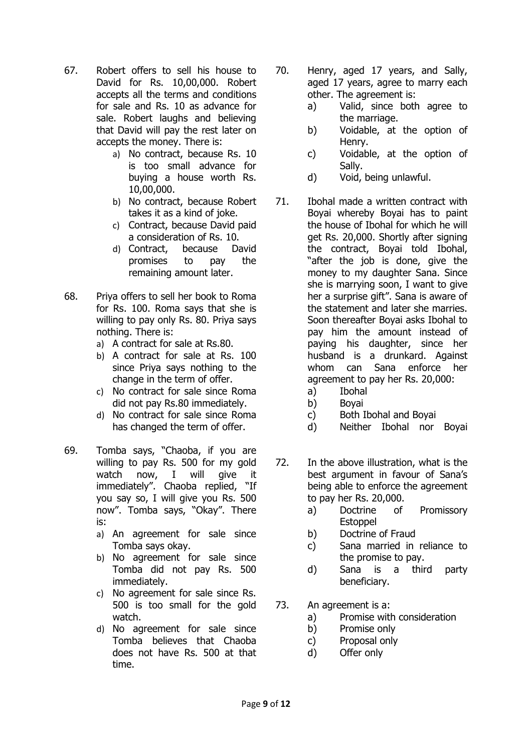- 67. Robert offers to sell his house to David for Rs. 10,00,000. Robert accepts all the terms and conditions for sale and Rs. 10 as advance for sale. Robert laughs and believing that David will pay the rest later on accepts the money. There is:
	- a) No contract, because Rs. 10 is too small advance for buying a house worth Rs. 10,00,000.
	- b) No contract, because Robert takes it as a kind of joke.
	- c) Contract, because David paid a consideration of Rs. 10.
	- d) Contract, because David promises to pay the remaining amount later.
- 68. Priya offers to sell her book to Roma for Rs. 100. Roma says that she is willing to pay only Rs. 80. Priya says nothing. There is:
	- a) A contract for sale at Rs.80.
	- b) A contract for sale at Rs. 100 since Priya says nothing to the change in the term of offer.
	- c) No contract for sale since Roma did not pay Rs.80 immediately.
	- d) No contract for sale since Roma has changed the term of offer.
- 69. Tomba says, "Chaoba, if you are willing to pay Rs. 500 for my gold watch now, I will give it immediately". Chaoba replied, "If you say so, I will give you Rs. 500 now". Tomba says, "Okay". There is:
	- a) An agreement for sale since Tomba says okay.
	- b) No agreement for sale since Tomba did not pay Rs. 500 immediately.
	- c) No agreement for sale since Rs. 500 is too small for the gold watch.
	- d) No agreement for sale since Tomba believes that Chaoba does not have Rs. 500 at that time.
- 70. Henry, aged 17 years, and Sally, aged 17 years, agree to marry each other. The agreement is:
	- a) Valid, since both agree to the marriage.
	- b) Voidable, at the option of Henry.
	- c) Voidable, at the option of Sally.
	- d) Void, being unlawful.
- 71. Ibohal made a written contract with Boyai whereby Boyai has to paint the house of Ibohal for which he will get Rs. 20,000. Shortly after signing the contract, Boyai told Ibohal, "after the job is done, give the money to my daughter Sana. Since she is marrying soon, I want to give her a surprise gift". Sana is aware of the statement and later she marries. Soon thereafter Boyai asks Ibohal to pay him the amount instead of paying his daughter, since her husband is a drunkard. Against whom can Sana enforce her agreement to pay her Rs. 20,000:
	- a) Ibohal
	- b) Boyai
	- c) Both Ibohal and Boyai
	- d) Neither Ibohal nor Boyai
- 72. In the above illustration, what is the best argument in favour of Sana's being able to enforce the agreement to pay her Rs. 20,000.
	- a) Doctrine of Promissory **Estoppel**
	- b) Doctrine of Fraud
	- c) Sana married in reliance to the promise to pay.
	- d) Sana is a third party beneficiary.
- 73. An agreement is a:
	- a) Promise with consideration
	- b) Promise only
	- c) Proposal only
	- d) Offer only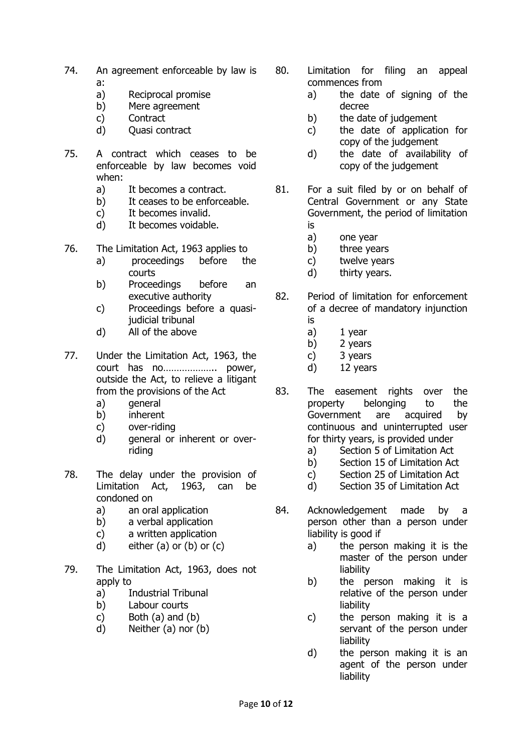- 74. An agreement enforceable by law is a:
	- a) Reciprocal promise
	- b) Mere agreement
	- c) Contract
	- d) Quasi contract
- 75. A contract which ceases to be enforceable by law becomes void when:
	- a) It becomes a contract.
	- b) It ceases to be enforceable.
	- c) It becomes invalid.
	- d) It becomes voidable.
- 76. The Limitation Act, 1963 applies to
	- a) proceedings before the courts
	- b) Proceedings before an executive authority
	- c) Proceedings before a quasijudicial tribunal
	- d) All of the above
- 77. Under the Limitation Act, 1963, the court has no……………….. power, outside the Act, to relieve a litigant from the provisions of the Act
	- a) general
	- b) inherent
	- c) over-riding
	- d) general or inherent or overriding
- 78. The delay under the provision of Limitation Act, 1963, can be condoned on
	- a) an oral application
	- b) a verbal application
	- c) a written application
	- d) either  $(a)$  or  $(b)$  or  $(c)$
- 79. The Limitation Act, 1963, does not apply to
	- a) Industrial Tribunal
	- b) Labour courts
	- c) Both (a) and (b)
	- d) Neither (a) nor (b)
- 80. Limitation for filing an appeal commences from
	- a) the date of signing of the decree
	- b) the date of judgement
	- c) the date of application for copy of the judgement
	- d) the date of availability of copy of the judgement
- 81. For a suit filed by or on behalf of Central Government or any State Government, the period of limitation is
	- a) one year
	- b) three years
	- c) twelve years
	- d) thirty years.
- 82. Period of limitation for enforcement of a decree of mandatory injunction is
	- a) 1 year
	- b) 2 years
	- c) 3 years
	- d) 12 years
- 83. The easement rights over the property belonging to the Government are acquired by continuous and uninterrupted user for thirty years, is provided under
	- a) Section 5 of Limitation Act
	- b) Section 15 of Limitation Act
	- c) Section 25 of Limitation Act
	- d) Section 35 of Limitation Act
- 84. Acknowledgement made by a person other than a person under liability is good if
	- a) the person making it is the master of the person under liability
	- b) the person making it is relative of the person under liability
	- c) the person making it is a servant of the person under liability
	- d) the person making it is an agent of the person under liability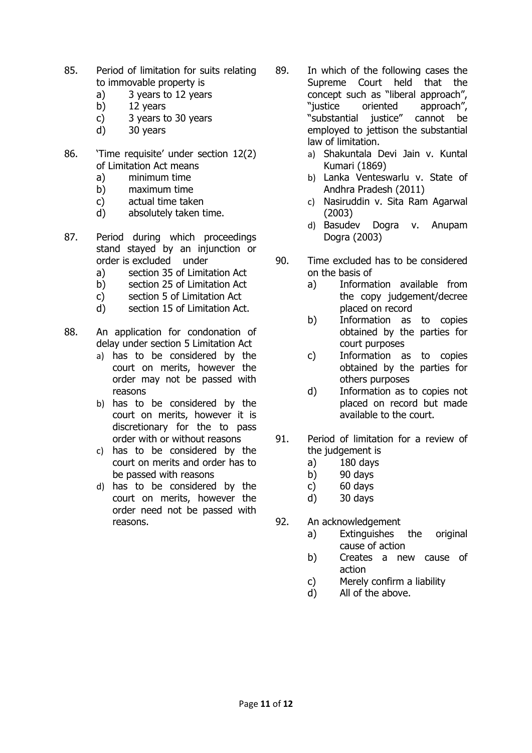- 85. Period of limitation for suits relating to immovable property is
	- a) 3 years to 12 years
	- b) 12 years
	- c) 3 years to 30 years
	- d) 30 years
- 86. 'Time requisite' under section 12(2) of Limitation Act means
	- a) minimum time
	- b) maximum time
	- c) actual time taken
	- d) absolutely taken time.
- 87. Period during which proceedings stand stayed by an injunction or order is excluded under
	- a) section 35 of Limitation Act
	- b) section 25 of Limitation Act
	- c) section 5 of Limitation Act
	- d) section 15 of Limitation Act.
- 88. An application for condonation of delay under section 5 Limitation Act
	- a) has to be considered by the court on merits, however the order may not be passed with reasons
	- b) has to be considered by the court on merits, however it is discretionary for the to pass order with or without reasons
	- c) has to be considered by the court on merits and order has to be passed with reasons
	- d) has to be considered by the court on merits, however the order need not be passed with reasons.
- 89. In which of the following cases the Supreme Court held that the concept such as "liberal approach", "justice oriented approach", "substantial justice" cannot be employed to jettison the substantial law of limitation.
	- a) Shakuntala Devi Jain v. Kuntal Kumari (1869)
	- b) Lanka Venteswarlu v. State of Andhra Pradesh (2011)
	- c) Nasiruddin v. Sita Ram Agarwal (2003)
	- d) Basudev Dogra v. Anupam Dogra (2003)
- 90. Time excluded has to be considered on the basis of
	- a) Information available from the copy judgement/decree placed on record
	- b) Information as to copies obtained by the parties for court purposes
	- c) Information as to copies obtained by the parties for others purposes
	- d) Information as to copies not placed on record but made available to the court.
- 91. Period of limitation for a review of the judgement is
	- a) 180 days
	- b) 90 days
	- c) 60 days
	- d) 30 days
- 92. An acknowledgement
	- a) Extinguishes the original cause of action
	- b) Creates a new cause of action
	- c) Merely confirm a liability
	- d) All of the above.